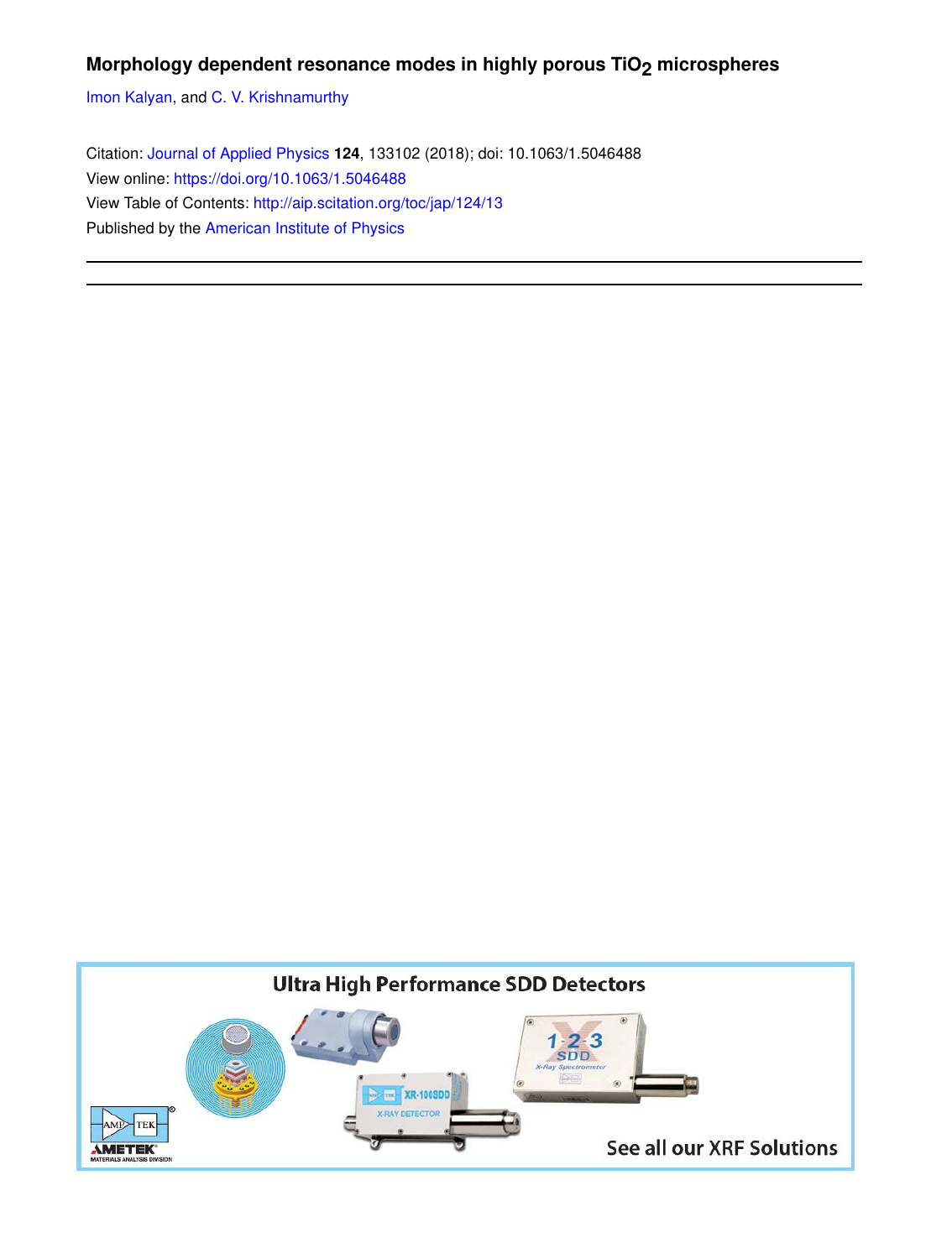# **Morphology dependent resonance modes in highly porous TiO2 microspheres**

Imon Kalyan, and C. V. Krishnamurthy

Citation: Journal of Applied Physics **124**, 133102 (2018); doi: 10.1063/1.5046488 View online: https://doi.org/10.1063/1.5046488 View Table of Contents: http://aip.scitation.org/toc/jap/124/13 Published by the American Institute of Physics

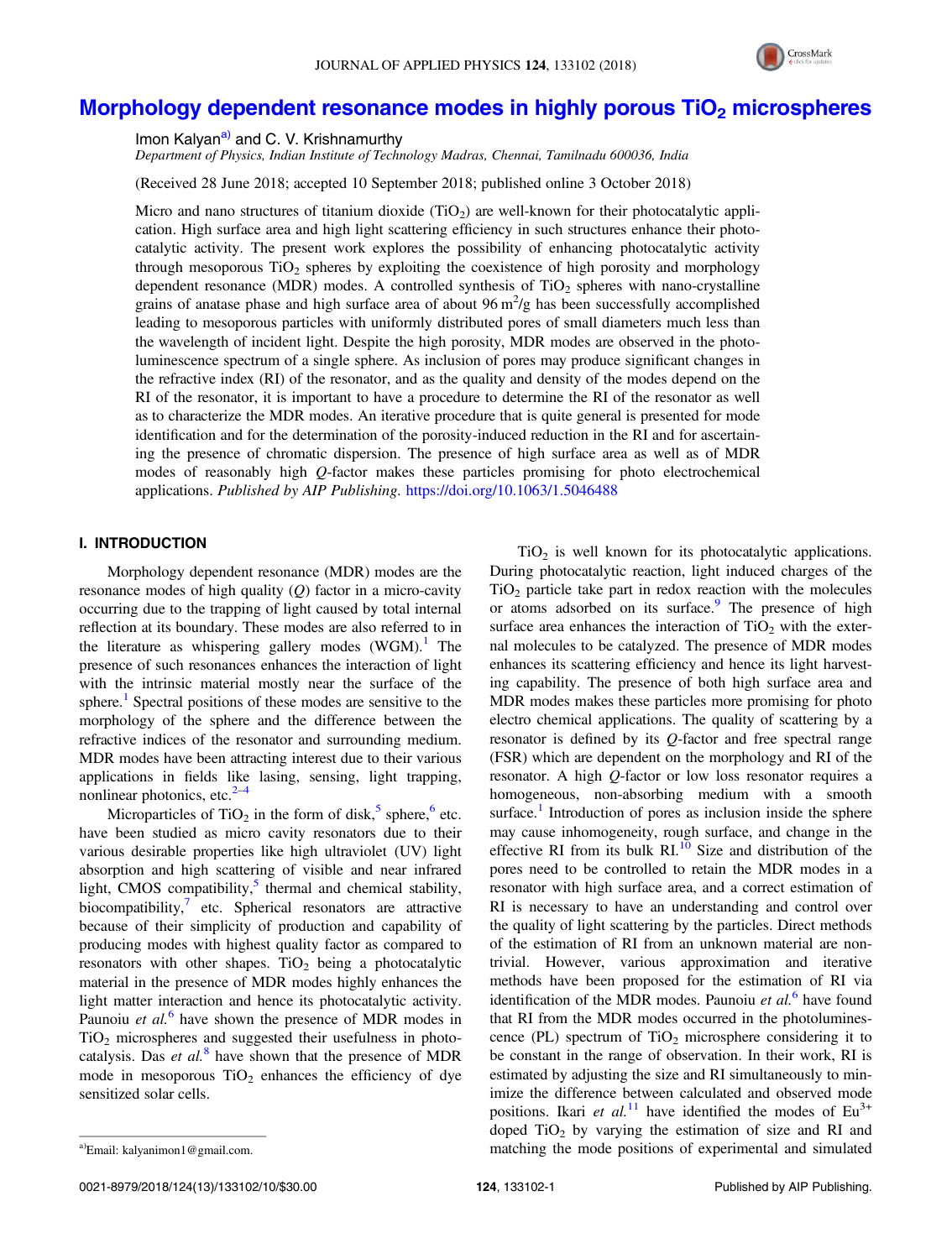

# Morphology dependent resonance modes in highly porous TiO<sub>2</sub> microspheres

Imon Kalyan<sup>a)</sup> and C. V. Krishnamurthy

Department of Physics, Indian Institute of Technology Madras, Chennai, Tamilnadu 600036, India

(Received 28 June 2018; accepted 10 September 2018; published online 3 October 2018)

Micro and nano structures of titanium dioxide  $(TiO<sub>2</sub>)$  are well-known for their photocatalytic application. High surface area and high light scattering efficiency in such structures enhance their photocatalytic activity. The present work explores the possibility of enhancing photocatalytic activity through mesoporous  $TiO<sub>2</sub>$  spheres by exploiting the coexistence of high porosity and morphology dependent resonance (MDR) modes. A controlled synthesis of  $TiO<sub>2</sub>$  spheres with nano-crystalline grains of anatase phase and high surface area of about  $96 \text{ m}^2/\text{g}$  has been successfully accomplished leading to mesoporous particles with uniformly distributed pores of small diameters much less than the wavelength of incident light. Despite the high porosity, MDR modes are observed in the photoluminescence spectrum of a single sphere. As inclusion of pores may produce significant changes in the refractive index (RI) of the resonator, and as the quality and density of the modes depend on the RI of the resonator, it is important to have a procedure to determine the RI of the resonator as well as to characterize the MDR modes. An iterative procedure that is quite general is presented for mode identification and for the determination of the porosity-induced reduction in the RI and for ascertaining the presence of chromatic dispersion. The presence of high surface area as well as of MDR modes of reasonably high Q-factor makes these particles promising for photo electrochemical applications. Published by AIP Publishing. https://doi.org/10.1063/1.5046488

# I. INTRODUCTION

Morphology dependent resonance (MDR) modes are the resonance modes of high quality  $(Q)$  factor in a micro-cavity occurring due to the trapping of light caused by total internal reflection at its boundary. These modes are also referred to in the literature as whispering gallery modes  $(WGM)$ .<sup>1</sup> The presence of such resonances enhances the interaction of light with the intrinsic material mostly near the surface of the sphere.<sup>1</sup> Spectral positions of these modes are sensitive to the morphology of the sphere and the difference between the refractive indices of the resonator and surrounding medium. MDR modes have been attracting interest due to their various applications in fields like lasing, sensing, light trapping, nonlinear photonics, etc. $2-4$ 

Microparticles of TiO<sub>2</sub> in the form of disk,<sup>5</sup> sphere,<sup>6</sup> etc. have been studied as micro cavity resonators due to their various desirable properties like high ultraviolet (UV) light absorption and high scattering of visible and near infrared light, CMOS compatibility,<sup>5</sup> thermal and chemical stability, biocompatibility, $\frac{7}{1}$  etc. Spherical resonators are attractive because of their simplicity of production and capability of producing modes with highest quality factor as compared to resonators with other shapes.  $TiO<sub>2</sub>$  being a photocatalytic material in the presence of MDR modes highly enhances the light matter interaction and hence its photocatalytic activity. Paunoiu et al.<sup>6</sup> have shown the presence of MDR modes in  $TiO<sub>2</sub>$  microspheres and suggested their usefulness in photocatalysis. Das et  $al$ <sup>8</sup> have shown that the presence of MDR mode in mesoporous  $TiO<sub>2</sub>$  enhances the efficiency of dye sensitized solar cells.

 $TiO<sub>2</sub>$  is well known for its photocatalytic applications. During photocatalytic reaction, light induced charges of the  $TiO<sub>2</sub>$  particle take part in redox reaction with the molecules or atoms adsorbed on its surface.<sup>9</sup> The presence of high surface area enhances the interaction of  $TiO<sub>2</sub>$  with the external molecules to be catalyzed. The presence of MDR modes enhances its scattering efficiency and hence its light harvesting capability. The presence of both high surface area and MDR modes makes these particles more promising for photo electro chemical applications. The quality of scattering by a resonator is defined by its Q-factor and free spectral range (FSR) which are dependent on the morphology and RI of the resonator. A high Q-factor or low loss resonator requires a homogeneous, non-absorbing medium with a smooth surface.<sup>1</sup> Introduction of pores as inclusion inside the sphere may cause inhomogeneity, rough surface, and change in the effective RI from its bulk  $RI$ .<sup>10</sup> Size and distribution of the pores need to be controlled to retain the MDR modes in a resonator with high surface area, and a correct estimation of RI is necessary to have an understanding and control over the quality of light scattering by the particles. Direct methods of the estimation of RI from an unknown material are nontrivial. However, various approximation and iterative methods have been proposed for the estimation of RI via identification of the MDR modes. Paunoiu et  $al$ <sup>6</sup> have found that RI from the MDR modes occurred in the photoluminescence (PL) spectrum of  $TiO<sub>2</sub>$  microsphere considering it to be constant in the range of observation. In their work, RI is estimated by adjusting the size and RI simultaneously to minimize the difference between calculated and observed mode positions. Ikari et al.<sup>11</sup> have identified the modes of  $Eu^{3+}$ doped  $TiO<sub>2</sub>$  by varying the estimation of size and RI and

a)Email: kalyanimon1@gmail.com. The mode positions of experimental and simulated a)Email: kalyanimon1@gmail.com.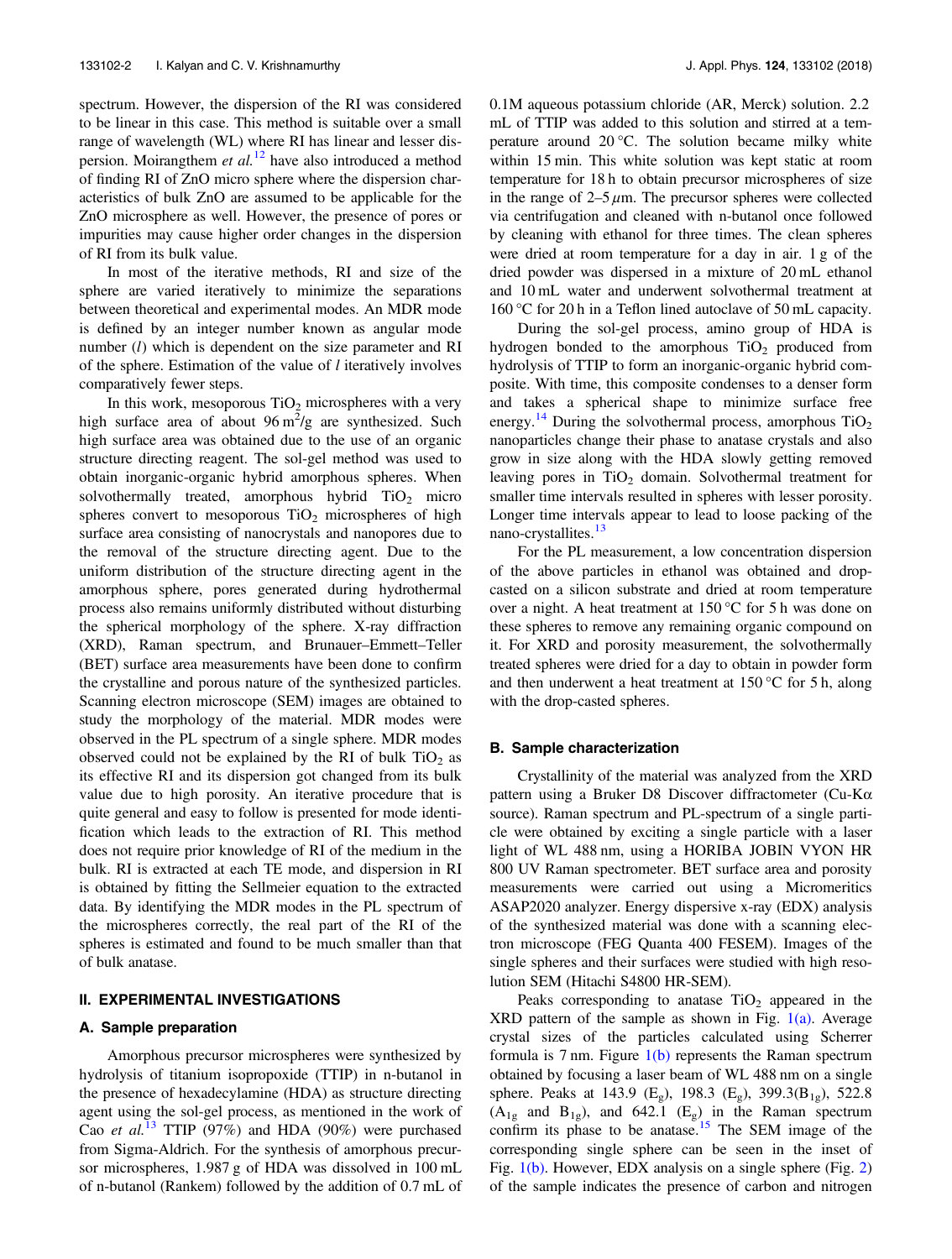spectrum. However, the dispersion of the RI was considered to be linear in this case. This method is suitable over a small range of wavelength (WL) where RI has linear and lesser dispersion. Moirangthem et  $al$ <sup>12</sup> have also introduced a method of finding RI of ZnO micro sphere where the dispersion characteristics of bulk ZnO are assumed to be applicable for the ZnO microsphere as well. However, the presence of pores or impurities may cause higher order changes in the dispersion of RI from its bulk value.

In most of the iterative methods, RI and size of the sphere are varied iteratively to minimize the separations between theoretical and experimental modes. An MDR mode is defined by an integer number known as angular mode number  $(l)$  which is dependent on the size parameter and RI of the sphere. Estimation of the value of  $l$  iteratively involves comparatively fewer steps.

In this work, mesoporous  $TiO<sub>2</sub>$  microspheres with a very high surface area of about  $96 \text{ m}^2/\text{g}$  are synthesized. Such high surface area was obtained due to the use of an organic structure directing reagent. The sol-gel method was used to obtain inorganic-organic hybrid amorphous spheres. When solvothermally treated, amorphous hybrid  $TiO<sub>2</sub>$  micro spheres convert to mesoporous  $TiO<sub>2</sub>$  microspheres of high surface area consisting of nanocrystals and nanopores due to the removal of the structure directing agent. Due to the uniform distribution of the structure directing agent in the amorphous sphere, pores generated during hydrothermal process also remains uniformly distributed without disturbing the spherical morphology of the sphere. X-ray diffraction (XRD), Raman spectrum, and Brunauer–Emmett–Teller (BET) surface area measurements have been done to confirm the crystalline and porous nature of the synthesized particles. Scanning electron microscope (SEM) images are obtained to study the morphology of the material. MDR modes were observed in the PL spectrum of a single sphere. MDR modes observed could not be explained by the RI of bulk  $TiO<sub>2</sub>$  as its effective RI and its dispersion got changed from its bulk value due to high porosity. An iterative procedure that is quite general and easy to follow is presented for mode identification which leads to the extraction of RI. This method does not require prior knowledge of RI of the medium in the bulk. RI is extracted at each TE mode, and dispersion in RI is obtained by fitting the Sellmeier equation to the extracted data. By identifying the MDR modes in the PL spectrum of the microspheres correctly, the real part of the RI of the spheres is estimated and found to be much smaller than that of bulk anatase.

### II. EXPERIMENTAL INVESTIGATIONS

#### A. Sample preparation

Amorphous precursor microspheres were synthesized by hydrolysis of titanium isopropoxide (TTIP) in n-butanol in the presence of hexadecylamine (HDA) as structure directing agent using the sol-gel process, as mentioned in the work of Cao et al.<sup>13</sup> TTIP (97%) and HDA (90%) were purchased from Sigma-Aldrich. For the synthesis of amorphous precursor microspheres, 1.987 g of HDA was dissolved in 100 mL of n-butanol (Rankem) followed by the addition of 0.7 mL of 0.1M aqueous potassium chloride (AR, Merck) solution. 2.2 mL of TTIP was added to this solution and stirred at a temperature around 20 °C. The solution became milky white within 15 min. This white solution was kept static at room temperature for 18 h to obtain precursor microspheres of size in the range of  $2-5 \mu$ m. The precursor spheres were collected via centrifugation and cleaned with n-butanol once followed by cleaning with ethanol for three times. The clean spheres were dried at room temperature for a day in air. 1 g of the dried powder was dispersed in a mixture of 20 mL ethanol and 10 mL water and underwent solvothermal treatment at 160 °C for 20 h in a Teflon lined autoclave of 50 mL capacity.

During the sol-gel process, amino group of HDA is hydrogen bonded to the amorphous  $TiO<sub>2</sub>$  produced from hydrolysis of TTIP to form an inorganic-organic hybrid composite. With time, this composite condenses to a denser form and takes a spherical shape to minimize surface free energy.<sup>14</sup> During the solvothermal process, amorphous  $TiO<sub>2</sub>$ nanoparticles change their phase to anatase crystals and also grow in size along with the HDA slowly getting removed leaving pores in  $TiO<sub>2</sub>$  domain. Solvothermal treatment for smaller time intervals resulted in spheres with lesser porosity. Longer time intervals appear to lead to loose packing of the nano-crystallites.<sup>13</sup>

For the PL measurement, a low concentration dispersion of the above particles in ethanol was obtained and dropcasted on a silicon substrate and dried at room temperature over a night. A heat treatment at 150 °C for 5 h was done on these spheres to remove any remaining organic compound on it. For XRD and porosity measurement, the solvothermally treated spheres were dried for a day to obtain in powder form and then underwent a heat treatment at  $150^{\circ}$ C for 5 h, along with the drop-casted spheres.

#### B. Sample characterization

Crystallinity of the material was analyzed from the XRD pattern using a Bruker D8 Discover diffractometer (Cu-Kα source). Raman spectrum and PL-spectrum of a single particle were obtained by exciting a single particle with a laser light of WL 488 nm, using a HORIBA JOBIN VYON HR 800 UV Raman spectrometer. BET surface area and porosity measurements were carried out using a Micromeritics ASAP2020 analyzer. Energy dispersive x-ray (EDX) analysis of the synthesized material was done with a scanning electron microscope (FEG Quanta 400 FESEM). Images of the single spheres and their surfaces were studied with high resolution SEM (Hitachi S4800 HR-SEM).

Peaks corresponding to anatase  $TiO<sub>2</sub>$  appeared in the XRD pattern of the sample as shown in Fig.  $1(a)$ . Average crystal sizes of the particles calculated using Scherrer formula is 7 nm. Figure 1(b) represents the Raman spectrum obtained by focusing a laser beam of WL 488 nm on a single sphere. Peaks at 143.9 (E<sub>g</sub>), 198.3 (E<sub>g</sub>), 399.3(B<sub>1g</sub>), 522.8  $(A_{1g}$  and  $B_{1g}$ ), and 642.1 (E<sub>g</sub>) in the Raman spectrum confirm its phase to be anatase.<sup>15</sup> The SEM image of the corresponding single sphere can be seen in the inset of Fig. 1(b). However, EDX analysis on a single sphere (Fig. 2) of the sample indicates the presence of carbon and nitrogen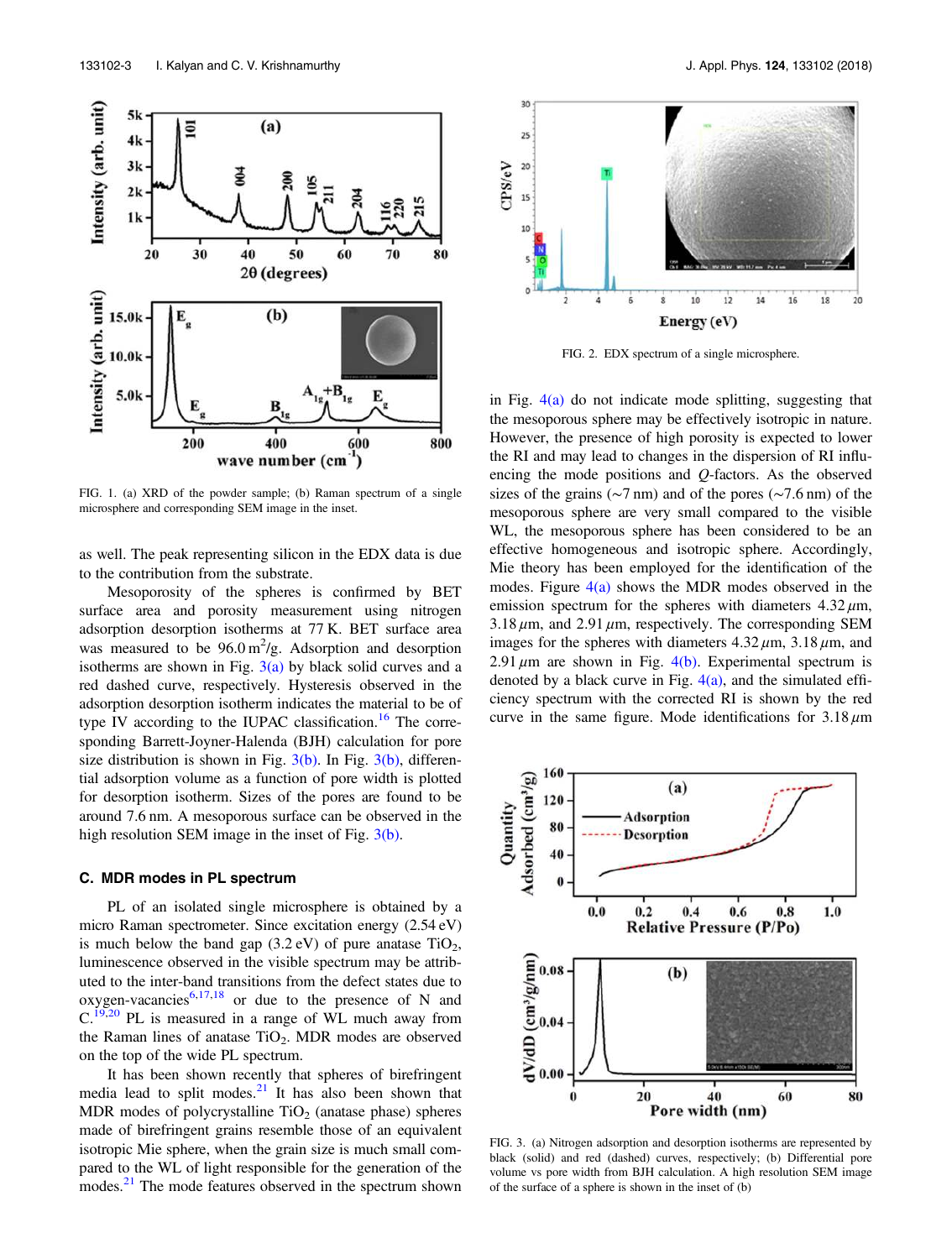

FIG. 1. (a) XRD of the powder sample; (b) Raman spectrum of a single microsphere and corresponding SEM image in the inset.

as well. The peak representing silicon in the EDX data is due to the contribution from the substrate.

Mesoporosity of the spheres is confirmed by BET surface area and porosity measurement using nitrogen adsorption desorption isotherms at 77 K. BET surface area was measured to be  $96.0 \text{ m}^2/\text{g}$ . Adsorption and desorption isotherms are shown in Fig.  $3(a)$  by black solid curves and a red dashed curve, respectively. Hysteresis observed in the adsorption desorption isotherm indicates the material to be of type IV according to the IUPAC classification.<sup>16</sup> The corresponding Barrett-Joyner-Halenda (BJH) calculation for pore size distribution is shown in Fig.  $3(b)$ . In Fig.  $3(b)$ , differential adsorption volume as a function of pore width is plotted for desorption isotherm. Sizes of the pores are found to be around 7.6 nm. A mesoporous surface can be observed in the high resolution SEM image in the inset of Fig. 3(b).

#### C. MDR modes in PL spectrum

PL of an isolated single microsphere is obtained by a micro Raman spectrometer. Since excitation energy (2.54 eV) is much below the band gap  $(3.2 \text{ eV})$  of pure anatase TiO<sub>2</sub>, luminescence observed in the visible spectrum may be attributed to the inter-band transitions from the defect states due to oxygen-vacancies<sup>6,17,18</sup> or due to the presence of N and  $C^{19,20}$  PL is measured in a range of WL much away from the Raman lines of anatase  $TiO<sub>2</sub>$ . MDR modes are observed on the top of the wide PL spectrum.

It has been shown recently that spheres of birefringent media lead to split modes. $21$  It has also been shown that MDR modes of polycrystalline  $TiO<sub>2</sub>$  (anatase phase) spheres made of birefringent grains resemble those of an equivalent isotropic Mie sphere, when the grain size is much small compared to the WL of light responsible for the generation of the modes.<sup>21</sup> The mode features observed in the spectrum shown



FIG. 2. EDX spectrum of a single microsphere.

in Fig.  $4(a)$  do not indicate mode splitting, suggesting that the mesoporous sphere may be effectively isotropic in nature. However, the presence of high porosity is expected to lower the RI and may lead to changes in the dispersion of RI influencing the mode positions and Q-factors. As the observed sizes of the grains (∼7 nm) and of the pores (∼7.6 nm) of the mesoporous sphere are very small compared to the visible WL, the mesoporous sphere has been considered to be an effective homogeneous and isotropic sphere. Accordingly, Mie theory has been employed for the identification of the modes. Figure  $4(a)$  shows the MDR modes observed in the emission spectrum for the spheres with diameters  $4.32 \mu m$ ,  $3.18 \,\mu$ m, and  $2.91 \,\mu$ m, respectively. The corresponding SEM images for the spheres with diameters  $4.32 \mu m$ ,  $3.18 \mu m$ , and 2.91  $\mu$ m are shown in Fig. 4(b). Experimental spectrum is denoted by a black curve in Fig.  $4(a)$ , and the simulated efficiency spectrum with the corrected RI is shown by the red curve in the same figure. Mode identifications for  $3.18 \mu m$ 



FIG. 3. (a) Nitrogen adsorption and desorption isotherms are represented by black (solid) and red (dashed) curves, respectively; (b) Differential pore volume vs pore width from BJH calculation. A high resolution SEM image of the surface of a sphere is shown in the inset of (b)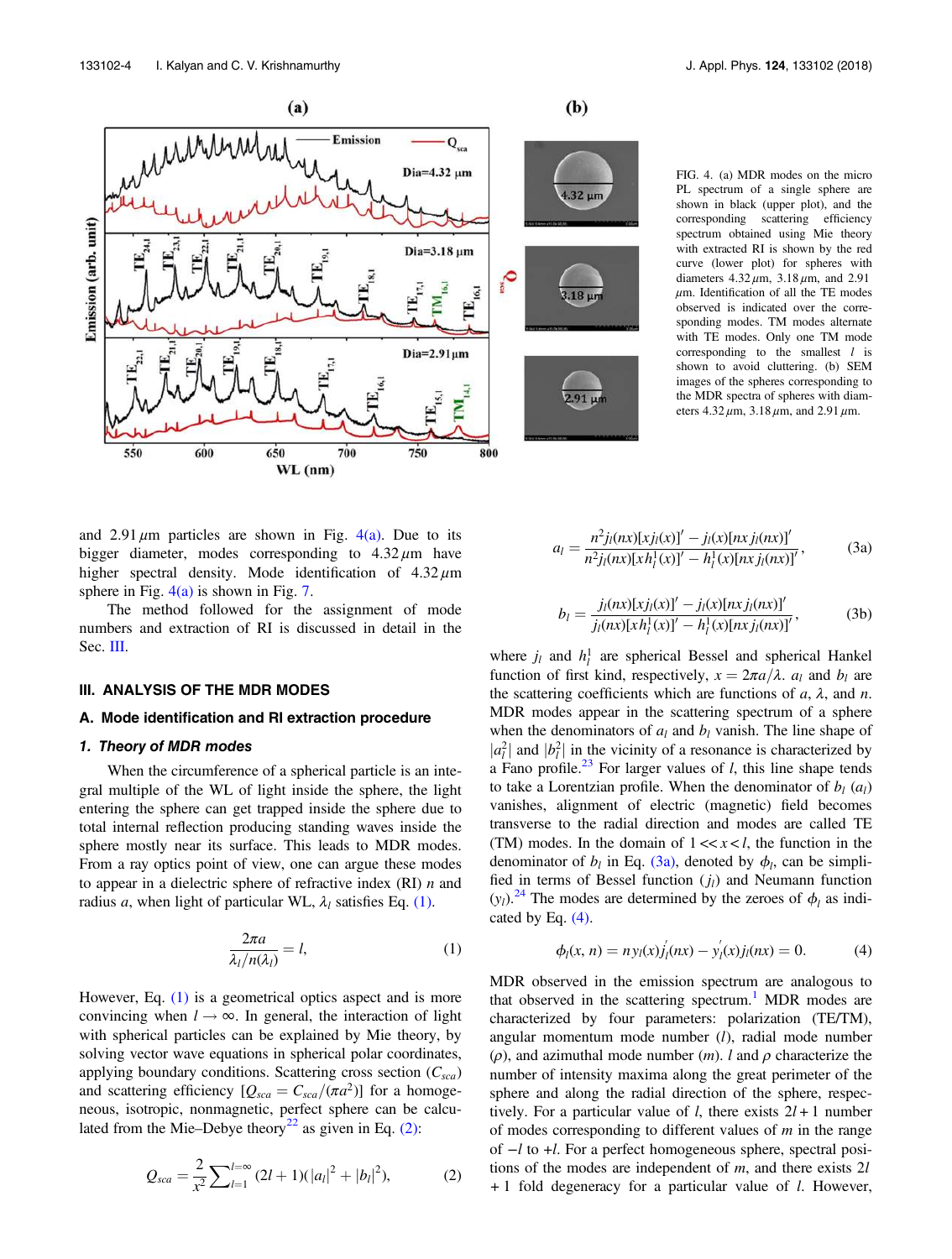



FIG. 4. (a) MDR modes on the micro PL spectrum of a single sphere are shown in black (upper plot), and the corresponding scattering efficiency spectrum obtained using Mie theory with extracted RI is shown by the red curve (lower plot) for spheres with diameters  $4.32 \mu m$ ,  $3.18 \mu m$ , and  $2.91$  $\mu$ m. Identification of all the TE modes observed is indicated over the corresponding modes. TM modes alternate with TE modes. Only one TM mode corresponding to the smallest  $l$  is shown to avoid cluttering. (b) SEM images of the spheres corresponding to the MDR spectra of spheres with diameters  $4.32 \,\mu \text{m}$ ,  $3.18 \,\mu \text{m}$ , and  $2.91 \,\mu \text{m}$ .

and 2.91  $\mu$ m particles are shown in Fig. 4(a). Due to its bigger diameter, modes corresponding to  $4.32 \mu m$  have higher spectral density. Mode identification of  $4.32 \mu m$ sphere in Fig.  $4(a)$  is shown in Fig. 7.

The method followed for the assignment of mode numbers and extraction of RI is discussed in detail in the Sec. III.

#### III. ANALYSIS OF THE MDR MODES

## A. Mode identification and RI extraction procedure

## 1. Theory of MDR modes

When the circumference of a spherical particle is an integral multiple of the WL of light inside the sphere, the light entering the sphere can get trapped inside the sphere due to total internal reflection producing standing waves inside the sphere mostly near its surface. This leads to MDR modes. From a ray optics point of view, one can argue these modes to appear in a dielectric sphere of refractive index  $(RI)$  *n* and radius a, when light of particular WL,  $\lambda_l$  satisfies Eq. (1).

$$
\frac{2\pi a}{\lambda_l/n(\lambda_l)} = l,\tag{1}
$$

However, Eq. (1) is a geometrical optics aspect and is more convincing when  $l \rightarrow \infty$ . In general, the interaction of light with spherical particles can be explained by Mie theory, by solving vector wave equations in spherical polar coordinates, applying boundary conditions. Scattering cross section  $(C_{sca})$ and scattering efficiency  $[Q_{sca} = C_{sca}/(\pi a^2)]$  for a homogeneous, isotropic, nonmagnetic, perfect sphere can be calculated from the Mie–Debye theory<sup>22</sup> as given in Eq. (2):

$$
Q_{sca} = \frac{2}{x^2} \sum_{l=1}^{l=\infty} (2l+1)(|a_l|^2 + |b_l|^2), \tag{2}
$$

$$
a_l = \frac{n^2 j_l(nx)[x j_l(x)]' - j_l(x)[nx j_l(nx)]'}{n^2 j_l(nx)[x h_l^1(x)]' - h_l^1(x)[nx j_l(nx)]'},
$$
(3a)

$$
b_{l} = \frac{j_{l}(nx)[xj_{l}(x)]' - j_{l}(x)[nxj_{l}(nx)]'}{j_{l}(nx)[xh_{l}^{1}(x)]' - h_{l}^{1}(x)[nxj_{l}(nx)]'},
$$
(3b)

where  $j_l$  and  $h_l^1$  are spherical Bessel and spherical Hankel function of first kind, respectively,  $x = 2\pi a/\lambda$ .  $a_l$  and  $b_l$  are the scattering coefficients which are functions of  $a$ ,  $\lambda$ , and  $n$ . MDR modes appear in the scattering spectrum of a sphere when the denominators of  $a_l$  and  $b_l$  vanish. The line shape of  $|a_l^2|$  and  $|b_l^2|$  in the vicinity of a resonance is characterized by a Fano profile.<sup>23</sup> For larger values of *l*, this line shape tends to take a Lorentzian profile. When the denominator of  $b_l$  (a<sub>l</sub>) vanishes, alignment of electric (magnetic) field becomes transverse to the radial direction and modes are called TE (TM) modes. In the domain of  $1 \ll x \ll l$ , the function in the denominator of  $b_l$  in Eq. (3a), denoted by  $\phi_l$ , can be simplified in terms of Bessel function  $(j_l)$  and Neumann function  $(y_l)$ .<sup>24</sup> The modes are determined by the zeroes of  $\phi_l$  as indicated by Eq.  $(4)$ .

$$
\phi_l(x, n) = n y_l(x) j_l'(nx) - y_l'(x) j_l(nx) = 0.
$$
 (4)

MDR observed in the emission spectrum are analogous to that observed in the scattering spectrum.<sup>1</sup> MDR modes are characterized by four parameters: polarization (TE/TM), angular momentum mode number  $(l)$ , radial mode number ( $\rho$ ), and azimuthal mode number (*m*). *l* and  $\rho$  characterize the number of intensity maxima along the great perimeter of the sphere and along the radial direction of the sphere, respectively. For a particular value of *l*, there exists  $2l + 1$  number of modes corresponding to different values of  $m$  in the range of −l to +l. For a perfect homogeneous sphere, spectral positions of the modes are independent of  $m$ , and there exists  $2l$ + 1 fold degeneracy for a particular value of l. However,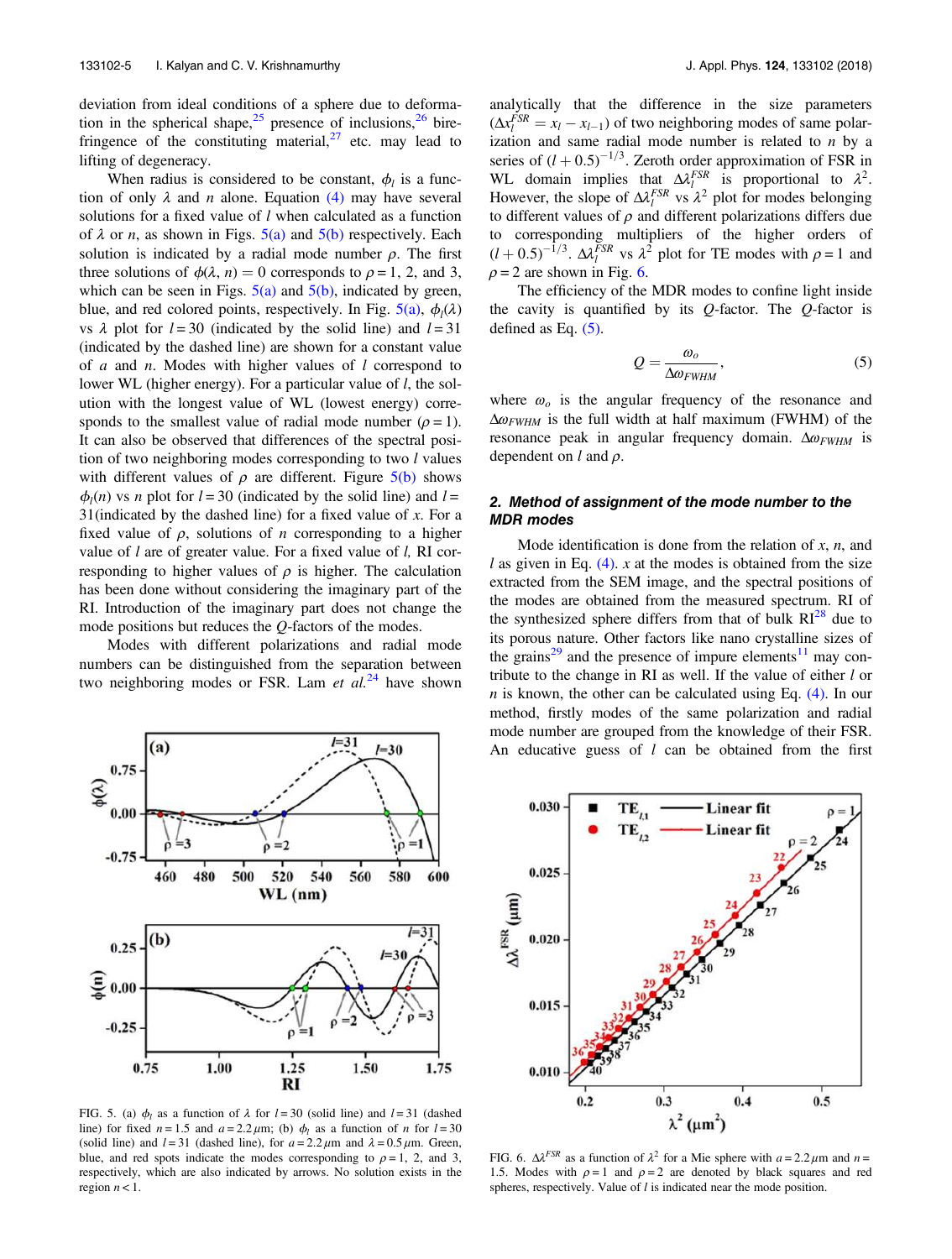deviation from ideal conditions of a sphere due to deformation in the spherical shape,  $2^5$  presence of inclusions,  $2^6$  birefringence of the constituting material,  $27$  etc. may lead to lifting of degeneracy.

When radius is considered to be constant,  $\phi_l$  is a function of only  $\lambda$  and *n* alone. Equation (4) may have several solutions for a fixed value of *l* when calculated as a function of  $\lambda$  or *n*, as shown in Figs.  $5(a)$  and  $5(b)$  respectively. Each solution is indicated by a radial mode number  $\rho$ . The first three solutions of  $\phi(\lambda, n) = 0$  corresponds to  $\rho = 1, 2,$  and 3, which can be seen in Figs.  $5(a)$  and  $5(b)$ , indicated by green, blue, and red colored points, respectively. In Fig.  $5(a)$ ,  $\phi_l(\lambda)$ vs  $\lambda$  plot for  $l = 30$  (indicated by the solid line) and  $l = 31$ (indicated by the dashed line) are shown for a constant value of  $a$  and  $n$ . Modes with higher values of  $l$  correspond to lower WL (higher energy). For a particular value of *l*, the solution with the longest value of WL (lowest energy) corresponds to the smallest value of radial mode number ( $\rho = 1$ ). It can also be observed that differences of the spectral position of two neighboring modes corresponding to two  $l$  values with different values of  $\rho$  are different. Figure  $5(b)$  shows  $\phi_l(n)$  vs *n* plot for  $l = 30$  (indicated by the solid line) and  $l =$ 31(indicated by the dashed line) for a fixed value of  $x$ . For a fixed value of  $\rho$ , solutions of *n* corresponding to a higher value of  $l$  are of greater value. For a fixed value of  $l$ , RI corresponding to higher values of  $\rho$  is higher. The calculation has been done without considering the imaginary part of the RI. Introduction of the imaginary part does not change the mode positions but reduces the Q-factors of the modes.

Modes with different polarizations and radial mode numbers can be distinguished from the separation between two neighboring modes or FSR. Lam et  $al^{24}$  have shown



FIG. 5. (a)  $\phi_l$  as a function of  $\lambda$  for  $l = 30$  (solid line) and  $l = 31$  (dashed line) for fixed  $n = 1.5$  and  $a = 2.2 \mu m$ ; (b)  $\phi_l$  as a function of n for  $l = 30$ (solid line) and  $l = 31$  (dashed line), for  $a = 2.2 \mu m$  and  $\lambda = 0.5 \mu m$ . Green, blue, and red spots indicate the modes corresponding to  $\rho = 1$ , 2, and 3, respectively, which are also indicated by arrows. No solution exists in the region  $n < 1$ .

analytically that the difference in the size parameters  $(\Delta x_l^{FSR} = x_l - x_{l-1})$  of two neighboring modes of same polarization and same radial mode number is related to  $n$  by a series of  $(l + 0.5)^{-1/3}$ . Zeroth order approximation of FSR in WL domain implies that  $\Delta \lambda_i^{FSR}$  is proportional to  $\lambda^2$ . However, the slope of  $\Delta l_l^{FSR}$  vs  $\lambda^2$  plot for modes belonging to different values of  $\rho$  and different polarizations differs due to corresponding multipliers of the higher orders of  $(l + 0.5)^{-1/3}$ .  $\Delta \lambda_l^{\bar{F}SR}$  vs  $\lambda^2$  plot for TE modes with  $\rho = 1$  and  $\rho = 2$  are shown in Fig. 6.

The efficiency of the MDR modes to confine light inside the cavity is quantified by its  $Q$ -factor. The  $Q$ -factor is defined as Eq.  $(5)$ .

$$
Q = \frac{\omega_o}{\Delta \omega_{FWHM}},\tag{5}
$$

where  $\omega_o$  is the angular frequency of the resonance and  $\Delta \omega_{FWHM}$  is the full width at half maximum (FWHM) of the resonance peak in angular frequency domain.  $\Delta \omega_{FWHM}$  is dependent on  $l$  and  $\rho$ .

## 2. Method of assignment of the mode number to the MDR modes

Mode identification is done from the relation of  $x$ ,  $n$ , and  $l$  as given in Eq. (4). x at the modes is obtained from the size extracted from the SEM image, and the spectral positions of the modes are obtained from the measured spectrum. RI of the synthesized sphere differs from that of bulk  $RI^{28}$  due to its porous nature. Other factors like nano crystalline sizes of the grains<sup>29</sup> and the presence of impure elements<sup>11</sup> may contribute to the change in RI as well. If the value of either l or  $n$  is known, the other can be calculated using Eq.  $(4)$ . In our method, firstly modes of the same polarization and radial mode number are grouped from the knowledge of their FSR. An educative guess of  $l$  can be obtained from the first



FIG. 6.  $\Delta l^{FSR}$  as a function of  $\lambda^2$  for a Mie sphere with  $a = 2.2 \mu m$  and  $n =$ 1.5. Modes with  $\rho = 1$  and  $\rho = 2$  are denoted by black squares and red spheres, respectively. Value of  $l$  is indicated near the mode position.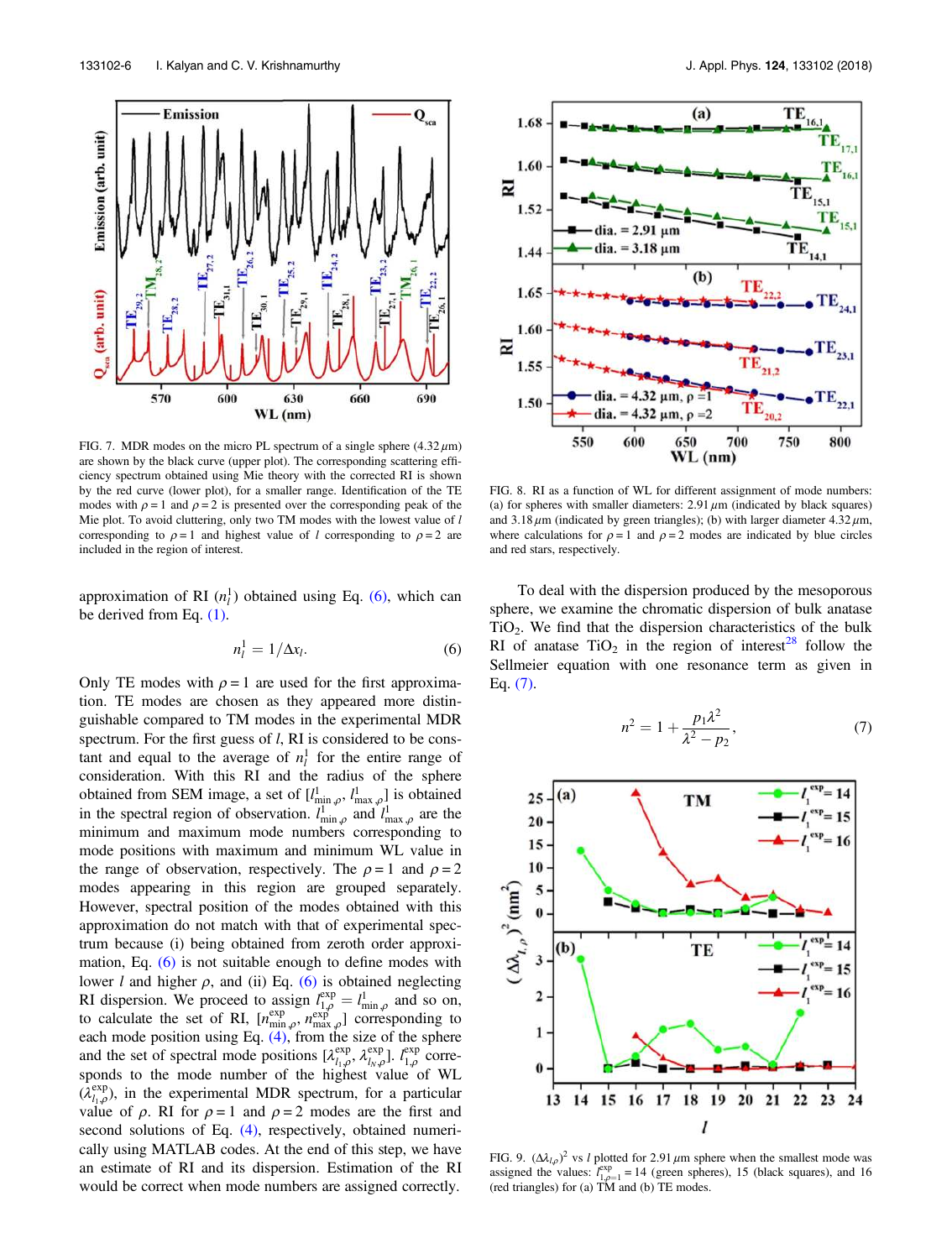FIG. 7. MDR modes on the micro PL spectrum of a single sphere  $(4.32 \mu m)$ are shown by the black curve (upper plot). The corresponding scattering efficiency spectrum obtained using Mie theory with the corrected RI is shown by the red curve (lower plot), for a smaller range. Identification of the TE modes with  $\rho = 1$  and  $\rho = 2$  is presented over the corresponding peak of the Mie plot. To avoid cluttering, only two TM modes with the lowest value of  $l$ corresponding to  $\rho = 1$  and highest value of l corresponding to  $\rho = 2$  are included in the region of interest.

approximation of RI  $(n_l^1)$  obtained using Eq. (6), which can be derived from Eq. (1).

$$
n_l^1 = 1/\Delta x_l. \tag{6}
$$

Only TE modes with  $\rho = 1$  are used for the first approximation. TE modes are chosen as they appeared more distinguishable compared to TM modes in the experimental MDR spectrum. For the first guess of *l*, RI is considered to be constant and equal to the average of  $n_l^1$  for the entire range of consideration. With this RI and the radius of the sphere obtained from SEM image, a set of  $[l^1_{\min,\rho}, l^1_{\max,\rho}]$  is obtained in the spectral region of observation.  $l_{\min,\rho}^1$  and  $l_{\max,\rho}^1$  are the minimum and maximum mode numbers corresponding to mode positions with maximum and minimum WL value in the range of observation, respectively. The  $\rho = 1$  and  $\rho = 2$ modes appearing in this region are grouped separately. However, spectral position of the modes obtained with this approximation do not match with that of experimental spectrum because (i) being obtained from zeroth order approximation, Eq. (6) is not suitable enough to define modes with lower *l* and higher  $\rho$ , and (ii) Eq. (6) is obtained neglecting RI dispersion. We proceed to assign  $l_{1,\rho}^{\exp} = l_{\min,\rho}^{\text{1}}$  and so on, to calculate the set of RI,  $[n_{\min,\rho}^{\exp}, n_{\max,\rho}^{\exp}]$  corresponding to each mode position using Eq.  $(4)$ , from the size of the sphere and the set of spectral mode positions  $[\lambda_{l_1,\rho}^{\text{exp}}, \lambda_{l_N,\rho}^{\text{exp}}]$ .  $\ell_{1,\rho}^{\text{exp}}$  corresponds to the mode number of the highest value of WL  $(\lambda_{l_1,\rho}^{exp})$ , in the experimental MDR spectrum, for a particular value of  $\rho$ . RI for  $\rho = 1$  and  $\rho = 2$  modes are the first and second solutions of Eq. (4), respectively, obtained numerically using MATLAB codes. At the end of this step, we have an estimate of RI and its dispersion. Estimation of the RI would be correct when mode numbers are assigned correctly.

FIG. 8. RI as a function of WL for different assignment of mode numbers: (a) for spheres with smaller diameters:  $2.91 \mu m$  (indicated by black squares) and  $3.18 \mu$ m (indicated by green triangles); (b) with larger diameter  $4.32 \mu$ m, where calculations for  $\rho = 1$  and  $\rho = 2$  modes are indicated by blue circles and red stars, respectively.

To deal with the dispersion produced by the mesoporous sphere, we examine the chromatic dispersion of bulk anatase  $TiO<sub>2</sub>$ . We find that the dispersion characteristics of the bulk RI of anatase  $TiO<sub>2</sub>$  in the region of interest<sup>28</sup> follow the Sellmeier equation with one resonance term as given in Eq. (7).

$$
n^2 = 1 + \frac{p_1 \lambda^2}{\lambda^2 - p_2},\tag{7}
$$



FIG. 9.  $(\Delta \lambda_{l,\rho})^2$  vs *l* plotted for 2.91  $\mu$ m sphere when the smallest mode was assigned the values:  $l_{1,\rho=1}^{\exp}$  = 14 (green spheres), 15 (black squares), and 16 (red triangles) for (a) TM and (b) TE modes.



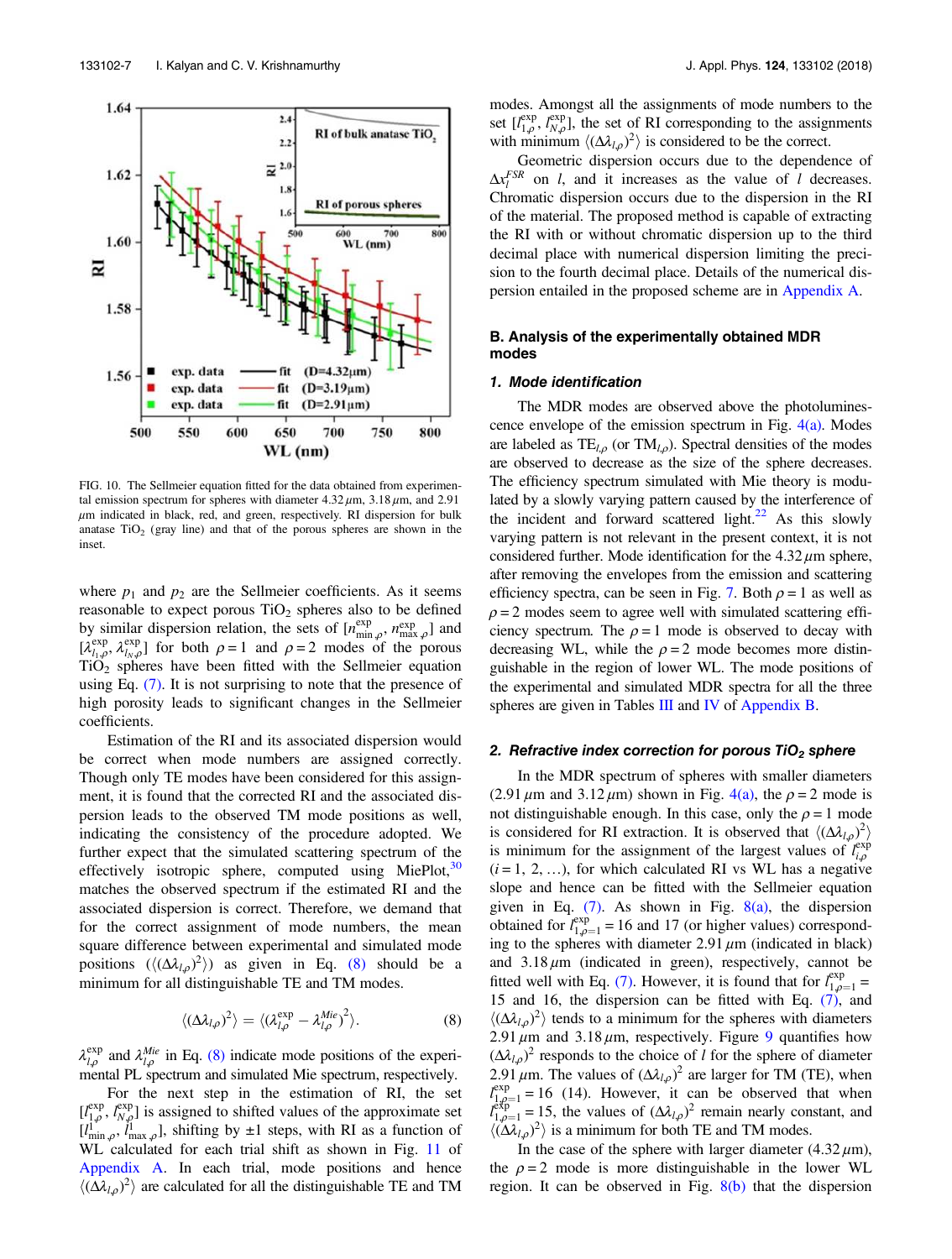

FIG. 10. The Sellmeier equation fitted for the data obtained from experimental emission spectrum for spheres with diameter  $4.32 \mu$ m,  $3.18 \mu$ m, and  $2.91$  $\mu$ m indicated in black, red, and green, respectively. RI dispersion for bulk anatase  $TiO<sub>2</sub>$  (gray line) and that of the porous spheres are shown in the inset.

where  $p_1$  and  $p_2$  are the Sellmeier coefficients. As it seems reasonable to expect porous  $TiO<sub>2</sub>$  spheres also to be defined by similar dispersion relation, the sets of  $[n_{\min,\rho}^{\exp}, n_{\max,\rho}^{\exp}]$  and  $[\lambda_{l_1,\rho}^{exp}, \lambda_{l_N,\rho}^{exp}]$  for both  $\rho = 1$  and  $\rho = 2$  modes of the porous  $TiO<sub>2</sub>$  spheres have been fitted with the Sellmeier equation using Eq. (7). It is not surprising to note that the presence of high porosity leads to significant changes in the Sellmeier coefficients.

Estimation of the RI and its associated dispersion would be correct when mode numbers are assigned correctly. Though only TE modes have been considered for this assignment, it is found that the corrected RI and the associated dispersion leads to the observed TM mode positions as well, indicating the consistency of the procedure adopted. We further expect that the simulated scattering spectrum of the effectively isotropic sphere, computed using MiePlot, $30$ matches the observed spectrum if the estimated RI and the associated dispersion is correct. Therefore, we demand that for the correct assignment of mode numbers, the mean square difference between experimental and simulated mode positions  $(\langle (\Delta \lambda_{l,\rho})^2 \rangle)$  as given in Eq. (8) should be a minimum for all distinguishable TE and TM modes.

$$
\langle (\Delta \lambda_{l,\rho})^2 \rangle = \langle (\lambda_{l,\rho}^{\exp} - \lambda_{l,\rho}^{\text{Mie}})^2 \rangle. \tag{8}
$$

 $\lambda_{l,\rho}^{\text{exp}}$  and  $\lambda_{l,\rho}^{Mie}$  in Eq. (8) indicate mode positions of the experimental PL spectrum and simulated Mie spectrum, respectively.

For the next step in the estimation of RI, the set  $[l_{1,\rho}^{\text{exp}}, l_{N,\rho}^{\text{exp}}]$  is assigned to shifted values of the approximate set  $\left[l_{\min,\rho}^{1'}\right], \, l_{\max,\rho}^{1}$ , shifting by  $\pm 1$  steps, with RI as a function of WL calculated for each trial shift as shown in Fig. 11 of Appendix A. In each trial, mode positions and hence  $\langle (\Delta \lambda_{l,\rho})^2 \rangle$  are calculated for all the distinguishable TE and TM modes. Amongst all the assignments of mode numbers to the set  $[l_{1,\rho}^{\text{exp}}, l_{N,\rho}^{\text{exp}}]$ , the set of RI corresponding to the assignments with minimum  $\langle (\Delta \lambda_{l,\rho})^2 \rangle$  is considered to be the correct.

Geometric dispersion occurs due to the dependence of  $\Delta x_l^{FSR}$  on *l*, and it increases as the value of *l* decreases. Chromatic dispersion occurs due to the dispersion in the RI of the material. The proposed method is capable of extracting the RI with or without chromatic dispersion up to the third decimal place with numerical dispersion limiting the precision to the fourth decimal place. Details of the numerical dispersion entailed in the proposed scheme are in Appendix A.

# B. Analysis of the experimentally obtained MDR modes

### 1. Mode identification

The MDR modes are observed above the photoluminescence envelope of the emission spectrum in Fig.  $4(a)$ . Modes are labeled as  $TE_{l,\rho}$  (or  $TM_{l,\rho}$ ). Spectral densities of the modes are observed to decrease as the size of the sphere decreases. The efficiency spectrum simulated with Mie theory is modulated by a slowly varying pattern caused by the interference of the incident and forward scattered light.<sup>22</sup> As this slowly varying pattern is not relevant in the present context, it is not considered further. Mode identification for the  $4.32 \mu m$  sphere, after removing the envelopes from the emission and scattering efficiency spectra, can be seen in Fig. 7. Both  $\rho = 1$  as well as  $\rho = 2$  modes seem to agree well with simulated scattering efficiency spectrum. The  $\rho = 1$  mode is observed to decay with decreasing WL, while the  $\rho = 2$  mode becomes more distinguishable in the region of lower WL. The mode positions of the experimental and simulated MDR spectra for all the three spheres are given in Tables III and IV of Appendix B.

## 2. Refractive index correction for porous  $TiO<sub>2</sub>$  sphere

In the MDR spectrum of spheres with smaller diameters (2.91  $\mu$ m and 3.12  $\mu$ m) shown in Fig. 4(a), the  $\rho = 2$  mode is not distinguishable enough. In this case, only the  $\rho = 1$  mode is considered for RI extraction. It is observed that  $\langle (\Delta \lambda_{l,\rho})^2 \rangle$ is minimum for the assignment of the largest values of  $\ell_{i,\rho}^{\text{exp}}$  $(i = 1, 2, ...)$ , for which calculated RI vs WL has a negative slope and hence can be fitted with the Sellmeier equation given in Eq.  $(7)$ . As shown in Fig. 8(a), the dispersion obtained for  $l_{1,\rho=1}^{\text{exp}}$  = 16 and 17 (or higher values) corresponding to the spheres with diameter  $2.91 \,\mu m$  (indicated in black) and  $3.18 \mu m$  (indicated in green), respectively, cannot be fitted well with Eq. (7). However, it is found that for  $l_{1,\rho=1}^{\exp}$ 15 and 16, the dispersion can be fitted with Eq.  $(7)$ , and  $\langle (\Delta \lambda_{l,\rho})^2 \rangle$  tends to a minimum for the spheres with diameters 2.91  $\mu$ m and 3.18  $\mu$ m, respectively. Figure 9 quantifies how  $(\Delta \lambda_{l,\rho})^2$  responds to the choice of l for the sphere of diameter 2.91  $\mu$ m. The values of  $(\Delta \lambda_{l,\rho})^2$  are larger for TM (TE), when  $l_{1,0}^{\text{exp}} = 16$  (14). However, it can be observed that when  $\ell_{1,\rho=1}^{\text{exp}} = 15$ , the values of  $(\Delta \lambda_{l,\rho})^2$  remain nearly constant, and  $\langle (\Delta \lambda_{l,\rho})^2 \rangle$  is a minimum for both TE and TM modes.

In the case of the sphere with larger diameter  $(4.32 \,\mu\text{m})$ , the  $\rho = 2$  mode is more distinguishable in the lower WL region. It can be observed in Fig.  $8(b)$  that the dispersion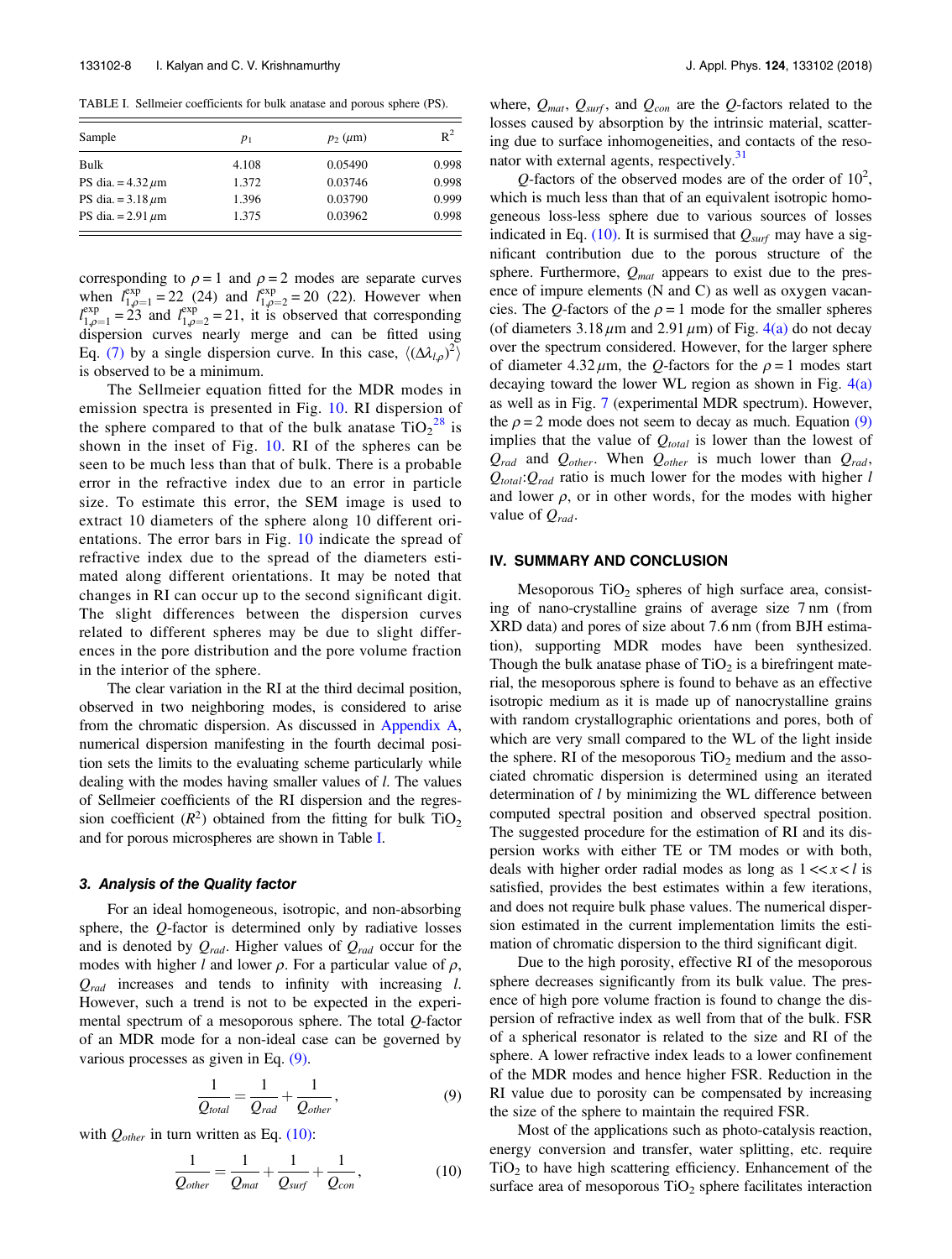TABLE I. Sellmeier coefficients for bulk anatase and porous sphere (PS).

| Sample                 | $p_1$ | $p_2 \ (\mu m)$ | $R^2$ |
|------------------------|-------|-----------------|-------|
| Bulk                   | 4.108 | 0.05490         | 0.998 |
| PS dia. $= 4.32 \mu m$ | 1.372 | 0.03746         | 0.998 |
| PS dia. = $3.18 \mu m$ | 1.396 | 0.03790         | 0.999 |
| PS dia. $= 2.91 \mu m$ | 1.375 | 0.03962         | 0.998 |

corresponding to  $\rho = 1$  and  $\rho = 2$  modes are separate curves when  $l_{1,\rho=1}^{\text{exp}} = 22(24)$  and  $l_{1,\rho=2}^{\text{exp}} = 20(22)$ . However when  $l_{1,\rho=1}^{\exp} = 23$  and  $l_{1,\rho=2}^{\exp} = 21$ , it is observed that corresponding dispersion curves nearly merge and can be fitted using Eq. (7) by a single dispersion curve. In this case,  $\langle (\Delta \lambda_{l,\rho})^2 \rangle$ is observed to be a minimum.

The Sellmeier equation fitted for the MDR modes in emission spectra is presented in Fig. 10. RI dispersion of the sphere compared to that of the bulk anatase  $TiO<sub>2</sub><sup>28</sup>$  is shown in the inset of Fig. 10. RI of the spheres can be seen to be much less than that of bulk. There is a probable error in the refractive index due to an error in particle size. To estimate this error, the SEM image is used to extract 10 diameters of the sphere along 10 different orientations. The error bars in Fig. 10 indicate the spread of refractive index due to the spread of the diameters estimated along different orientations. It may be noted that changes in RI can occur up to the second significant digit. The slight differences between the dispersion curves related to different spheres may be due to slight differences in the pore distribution and the pore volume fraction in the interior of the sphere.

The clear variation in the RI at the third decimal position, observed in two neighboring modes, is considered to arise from the chromatic dispersion. As discussed in Appendix A, numerical dispersion manifesting in the fourth decimal position sets the limits to the evaluating scheme particularly while dealing with the modes having smaller values of *l*. The values of Sellmeier coefficients of the RI dispersion and the regression coefficient  $(R^2)$  obtained from the fitting for bulk TiO<sub>2</sub> and for porous microspheres are shown in Table I.

#### 3. Analysis of the Quality factor

For an ideal homogeneous, isotropic, and non-absorbing sphere, the *O*-factor is determined only by radiative losses and is denoted by  $Q_{rad}$ . Higher values of  $Q_{rad}$  occur for the modes with higher l and lower  $\rho$ . For a particular value of  $\rho$ ,  $Q_{rad}$  increases and tends to infinity with increasing l. However, such a trend is not to be expected in the experimental spectrum of a mesoporous sphere. The total Q-factor of an MDR mode for a non-ideal case can be governed by various processes as given in Eq. (9).

$$
\frac{1}{Q_{total}} = \frac{1}{Q_{rad}} + \frac{1}{Q_{other}},\tag{9}
$$

with  $Q_{other}$  in turn written as Eq. (10):

$$
\frac{1}{Q_{other}} = \frac{1}{Q_{mat}} + \frac{1}{Q_{surf}} + \frac{1}{Q_{con}},
$$
\n(10)

where,  $Q_{mat}$ ,  $Q_{surf}$ , and  $Q_{con}$  are the  $Q$ -factors related to the losses caused by absorption by the intrinsic material, scattering due to surface inhomogeneities, and contacts of the resonator with external agents, respectively.<sup>31</sup>

 $Q$ -factors of the observed modes are of the order of  $10^2$ , which is much less than that of an equivalent isotropic homogeneous loss-less sphere due to various sources of losses indicated in Eq. (10). It is surmised that  $Q_{surf}$  may have a significant contribution due to the porous structure of the sphere. Furthermore,  $Q_{mat}$  appears to exist due to the presence of impure elements (N and C) as well as oxygen vacancies. The Q-factors of the  $\rho = 1$  mode for the smaller spheres (of diameters  $3.18 \mu$ m and  $2.91 \mu$ m) of Fig. 4(a) do not decay over the spectrum considered. However, for the larger sphere of diameter  $4.32 \mu m$ , the *Q*-factors for the  $\rho = 1$  modes start decaying toward the lower WL region as shown in Fig.  $4(a)$ as well as in Fig. 7 (experimental MDR spectrum). However, the  $\rho = 2$  mode does not seem to decay as much. Equation (9) implies that the value of  $Q_{total}$  is lower than the lowest of  $Q_{rad}$  and  $Q_{other}$ . When  $Q_{other}$  is much lower than  $Q_{rad}$ ,  $Q_{total}$ : $Q_{rad}$  ratio is much lower for the modes with higher l and lower  $\rho$ , or in other words, for the modes with higher value of  $Q_{rad}$ .

### IV. SUMMARY AND CONCLUSION

Mesoporous  $TiO<sub>2</sub>$  spheres of high surface area, consisting of nano-crystalline grains of average size 7 nm (from XRD data) and pores of size about 7.6 nm (from BJH estimation), supporting MDR modes have been synthesized. Though the bulk anatase phase of  $TiO<sub>2</sub>$  is a birefringent material, the mesoporous sphere is found to behave as an effective isotropic medium as it is made up of nanocrystalline grains with random crystallographic orientations and pores, both of which are very small compared to the WL of the light inside the sphere. RI of the mesoporous  $TiO<sub>2</sub>$  medium and the associated chromatic dispersion is determined using an iterated determination of *l* by minimizing the WL difference between computed spectral position and observed spectral position. The suggested procedure for the estimation of RI and its dispersion works with either TE or TM modes or with both, deals with higher order radial modes as long as  $1 \ll x \ll l$  is satisfied, provides the best estimates within a few iterations, and does not require bulk phase values. The numerical dispersion estimated in the current implementation limits the estimation of chromatic dispersion to the third significant digit.

Due to the high porosity, effective RI of the mesoporous sphere decreases significantly from its bulk value. The presence of high pore volume fraction is found to change the dispersion of refractive index as well from that of the bulk. FSR of a spherical resonator is related to the size and RI of the sphere. A lower refractive index leads to a lower confinement of the MDR modes and hence higher FSR. Reduction in the RI value due to porosity can be compensated by increasing the size of the sphere to maintain the required FSR.

Most of the applications such as photo-catalysis reaction, energy conversion and transfer, water splitting, etc. require  $TiO<sub>2</sub>$  to have high scattering efficiency. Enhancement of the surface area of mesoporous  $TiO<sub>2</sub>$  sphere facilitates interaction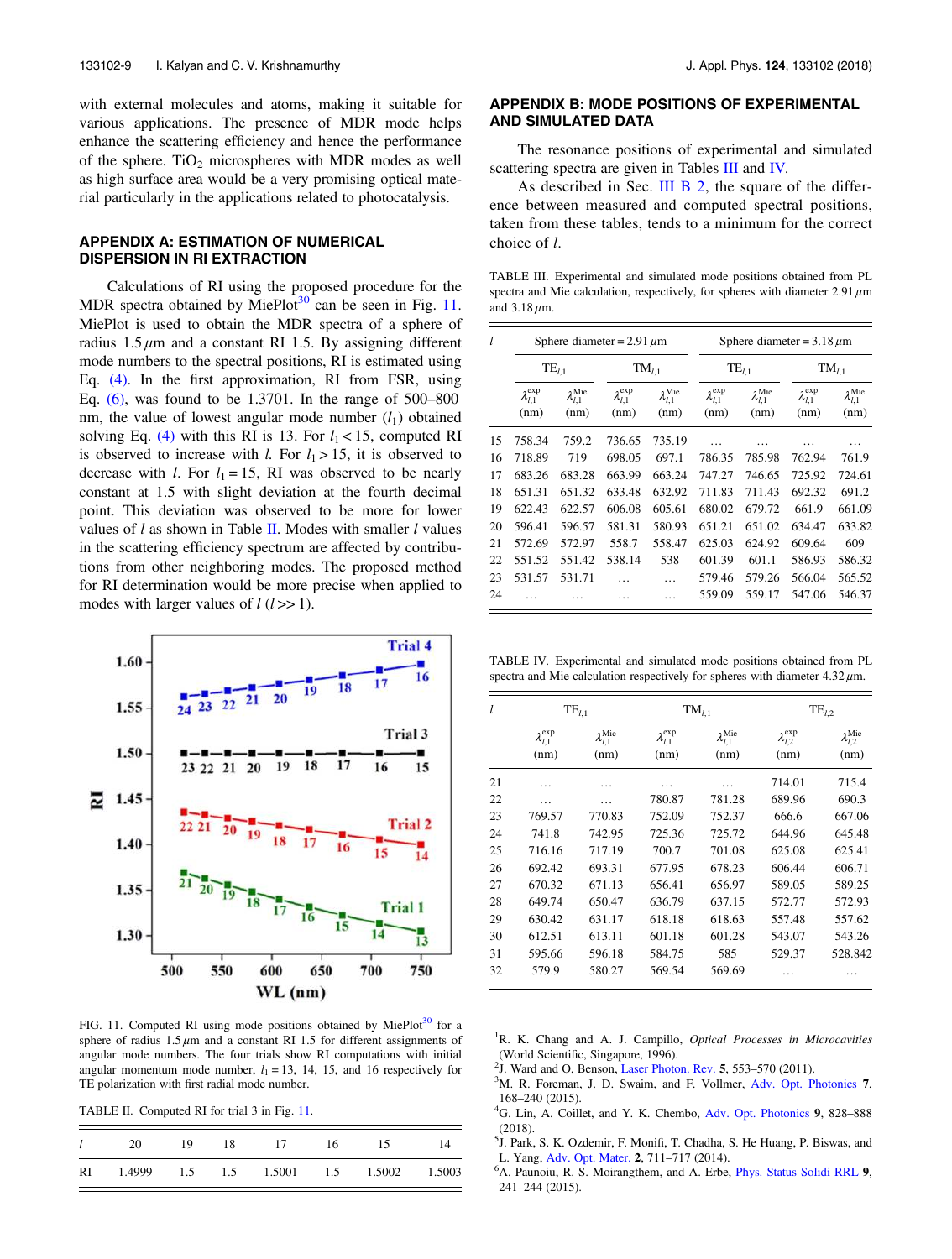with external molecules and atoms, making it suitable for various applications. The presence of MDR mode helps enhance the scattering efficiency and hence the performance of the sphere.  $TiO<sub>2</sub>$  microspheres with MDR modes as well as high surface area would be a very promising optical material particularly in the applications related to photocatalysis.

# APPENDIX A: ESTIMATION OF NUMERICAL DISPERSION IN RI EXTRACTION

Calculations of RI using the proposed procedure for the MDR spectra obtained by MiePlot<sup>30</sup> can be seen in Fig. 11. MiePlot is used to obtain the MDR spectra of a sphere of radius  $1.5 \mu m$  and a constant RI 1.5. By assigning different mode numbers to the spectral positions, RI is estimated using Eq. (4). In the first approximation, RI from FSR, using Eq. (6), was found to be 1.3701. In the range of 500–800 nm, the value of lowest angular mode number  $(l_1)$  obtained solving Eq. (4) with this RI is 13. For  $l_1 < 15$ , computed RI is observed to increase with *l*. For  $l_1 > 15$ , it is observed to decrease with *l*. For  $l_1 = 15$ , RI was observed to be nearly constant at 1.5 with slight deviation at the fourth decimal point. This deviation was observed to be more for lower values of  $l$  as shown in Table II. Modes with smaller  $l$  values in the scattering efficiency spectrum are affected by contributions from other neighboring modes. The proposed method for RI determination would be more precise when applied to modes with larger values of  $l$  ( $l >> 1$ ).



FIG. 11. Computed RI using mode positions obtained by MiePlot<sup>30</sup> for a sphere of radius  $1.5 \mu m$  and a constant RI 1.5 for different assignments of angular mode numbers. The four trials show RI computations with initial angular momentum mode number,  $l_1 = 13$ , 14, 15, and 16 respectively for TE polarization with first radial mode number.

TABLE II. Computed RI for trial 3 in Fig. 11.

| $l$ 20 19 18 17 16                         |  |  | 15 | -14 |
|--------------------------------------------|--|--|----|-----|
| RI 1.4999 1.5 1.5 1.5001 1.5 1.5002 1.5003 |  |  |    |     |

# APPENDIX B: MODE POSITIONS OF EXPERIMENTAL AND SIMULATED DATA

The resonance positions of experimental and simulated scattering spectra are given in Tables III and IV.

As described in Sec. III B 2, the square of the difference between measured and computed spectral positions, taken from these tables, tends to a minimum for the correct choice of l.

TABLE III. Experimental and simulated mode positions obtained from PL spectra and Mie calculation, respectively, for spheres with diameter  $2.91 \,\mu m$ and 3.18 μm.

| 1  |                                | Sphere diameter = $2.91 \mu m$       |                                |                                      | Sphere diameter = $3.18 \mu m$ |                                      |                                |                                      |
|----|--------------------------------|--------------------------------------|--------------------------------|--------------------------------------|--------------------------------|--------------------------------------|--------------------------------|--------------------------------------|
|    | $TE_{l,1}$                     |                                      | $TM_{l,1}$                     |                                      | $TE_{l,1}$                     |                                      | $TM_{l,1}$                     |                                      |
|    | $\lambda_{l,1}^{\exp}$<br>(nm) | $\lambda_{l,1}^{\text{Mie}}$<br>(nm) | $\lambda_{l,1}^{\exp}$<br>(nm) | $\lambda_{l,1}^{\text{Mie}}$<br>(nm) | $\lambda_{l,1}^{\exp}$<br>(nm) | $\lambda_{l,1}^{\text{Mie}}$<br>(nm) | $\lambda_{l,1}^{\exp}$<br>(nm) | $\lambda_{l,1}^{\text{Mie}}$<br>(nm) |
| 15 | 758.34                         | 759.2                                | 736.65                         | 735.19                               |                                | .                                    | .                              | .                                    |
| 16 | 718.89                         | 719                                  | 698.05                         | 697.1                                | 786.35                         | 785.98                               | 762.94                         | 761.9                                |
| 17 | 683.26                         | 683.28                               | 663.99                         | 663.24                               | 747.27                         | 746.65                               | 725.92                         | 724.61                               |
| 18 | 651.31                         | 651.32                               | 633.48                         | 632.92                               | 711.83                         | 711.43                               | 692.32                         | 691.2                                |
| 19 | 622.43                         | 622.57                               | 606.08                         | 605.61                               | 680.02                         | 679.72                               | 661.9                          | 661.09                               |
| 20 | 596.41                         | 596.57                               | 581.31                         | 580.93                               | 651.21                         | 651.02                               | 634.47                         | 633.82                               |
| 21 | 572.69                         | 572.97                               | 558.7                          | 558.47                               | 625.03                         | 624.92                               | 609.64                         | 609                                  |
| 22 | 551.52                         | 551.42                               | 538.14                         | 538                                  | 601.39                         | 601.1                                | 586.93                         | 586.32                               |
| 23 | 531.57                         | 531.71                               |                                |                                      | 579.46                         | 579.26                               | 566.04                         | 565.52                               |
| 24 |                                |                                      |                                |                                      | 559.09                         | 559.17                               | 547.06                         | 546.37                               |

TABLE IV. Experimental and simulated mode positions obtained from PL spectra and Mie calculation respectively for spheres with diameter  $4.32 \mu$ m.

| l  | $TE_{l,1}$                     |                                      |                                | $TM_{l,1}$                           | $TE_{l,2}$                     |                                      |
|----|--------------------------------|--------------------------------------|--------------------------------|--------------------------------------|--------------------------------|--------------------------------------|
|    | $\lambda_{l,1}^{\exp}$<br>(nm) | $\lambda_{l,1}^{\text{Mie}}$<br>(nm) | $\lambda_{l,1}^{\exp}$<br>(nm) | $\lambda_{l,1}^{\text{Mie}}$<br>(nm) | $\lambda_{l,2}^{\exp}$<br>(nm) | $\lambda_{l,2}^{\text{Mie}}$<br>(nm) |
| 21 | .                              | .                                    |                                |                                      | 714.01                         | 715.4                                |
| 22 | .                              | .                                    | 780.87                         | 781.28                               | 689.96                         | 690.3                                |
| 23 | 769.57                         | 770.83                               | 752.09                         | 752.37                               | 666.6                          | 667.06                               |
| 24 | 741.8                          | 742.95                               | 725.36                         | 725.72                               | 644.96                         | 645.48                               |
| 25 | 716.16                         | 717.19                               | 700.7                          | 701.08                               | 625.08                         | 625.41                               |
| 26 | 692.42                         | 693.31                               | 677.95                         | 678.23                               | 606.44                         | 606.71                               |
| 27 | 670.32                         | 671.13                               | 656.41                         | 656.97                               | 589.05                         | 589.25                               |
| 28 | 649.74                         | 650.47                               | 636.79                         | 637.15                               | 572.77                         | 572.93                               |
| 29 | 630.42                         | 631.17                               | 618.18                         | 618.63                               | 557.48                         | 557.62                               |
| 30 | 612.51                         | 613.11                               | 601.18                         | 601.28                               | 543.07                         | 543.26                               |
| 31 | 595.66                         | 596.18                               | 584.75                         | 585                                  | 529.37                         | 528.842                              |
| 32 | 579.9                          | 580.27                               | 569.54                         | 569.69                               |                                |                                      |

 ${}^{1}R$ . K. Chang and A. J. Campillo, *Optical Processes in Microcavities* (World Scientific, Singapore, 1996).

- <sup>2</sup>J. Ward and O. Benson, Laser Photon. Rev. 5, 553-570 (2011).
- $3$ M. R. Foreman, J. D. Swaim, and F. Vollmer, Adv. Opt. Photonics 7, 168–240 (2015).
- <sup>4</sup>G. Lin, A. Coillet, and Y. K. Chembo, Adv. Opt. Photonics 9, 828–888 (2018).
- <sup>5</sup>J. Park, S. K. Ozdemir, F. Monifi, T. Chadha, S. He Huang, P. Biswas, and L. Yang, Adv. Opt. Mater. 2, 711–717 (2014).
- <sup>6</sup>A. Paunoiu, R. S. Moirangthem, and A. Erbe, *Phys. Status Solidi RRL* 9, 241–244 (2015).